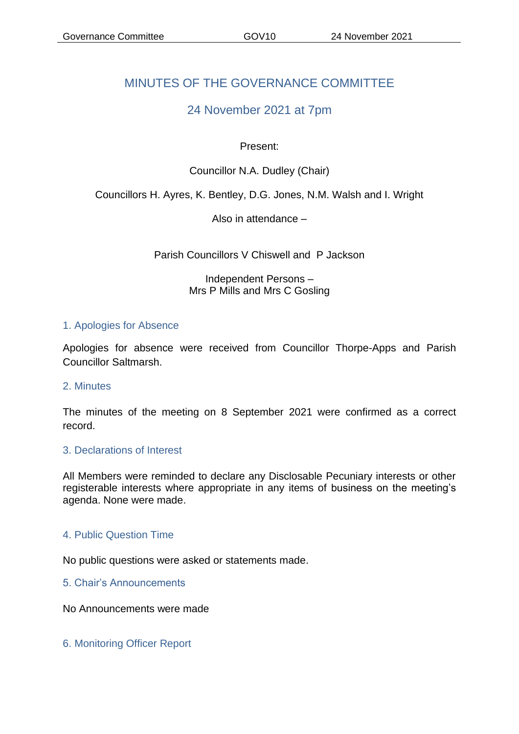# MINUTES OF THE GOVERNANCE COMMITTEE

# 24 November 2021 at 7pm

### Present:

# Councillor N.A. Dudley (Chair)

# Councillors H. Ayres, K. Bentley, D.G. Jones, N.M. Walsh and I. Wright

Also in attendance –

Parish Councillors V Chiswell and P Jackson

Independent Persons – Mrs P Mills and Mrs C Gosling

#### 1. Apologies for Absence

Apologies for absence were received from Councillor Thorpe-Apps and Parish Councillor Saltmarsh.

#### 2. Minutes

The minutes of the meeting on 8 September 2021 were confirmed as a correct record.

#### 3. Declarations of Interest

All Members were reminded to declare any Disclosable Pecuniary interests or other registerable interests where appropriate in any items of business on the meeting's agenda. None were made.

#### 4. Public Question Time

No public questions were asked or statements made.

5. Chair's Announcements

No Announcements were made

6. Monitoring Officer Report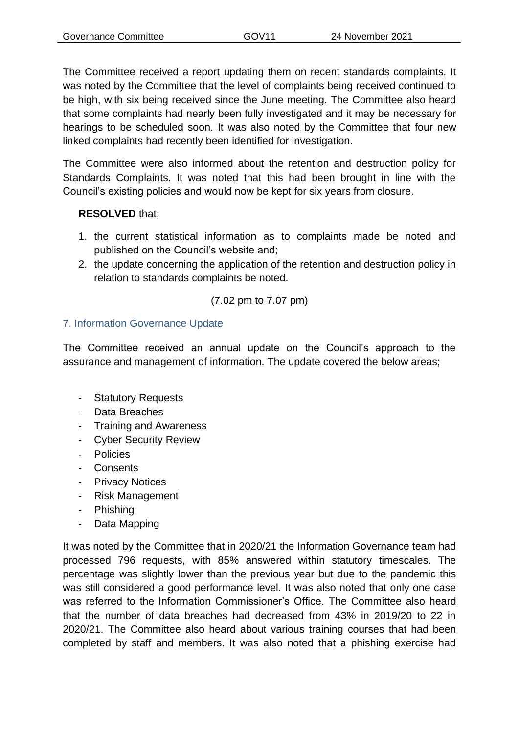The Committee received a report updating them on recent standards complaints. It was noted by the Committee that the level of complaints being received continued to be high, with six being received since the June meeting. The Committee also heard that some complaints had nearly been fully investigated and it may be necessary for hearings to be scheduled soon. It was also noted by the Committee that four new linked complaints had recently been identified for investigation.

The Committee were also informed about the retention and destruction policy for Standards Complaints. It was noted that this had been brought in line with the Council's existing policies and would now be kept for six years from closure.

# **RESOLVED** that;

- 1. the current statistical information as to complaints made be noted and published on the Council's website and;
- 2. the update concerning the application of the retention and destruction policy in relation to standards complaints be noted.

# (7.02 pm to 7.07 pm)

# 7. Information Governance Update

The Committee received an annual update on the Council's approach to the assurance and management of information. The update covered the below areas;

- Statutory Requests
- Data Breaches
- Training and Awareness
- Cyber Security Review
- Policies
- Consents
- Privacy Notices
- Risk Management
- Phishing
- Data Mapping

It was noted by the Committee that in 2020/21 the Information Governance team had processed 796 requests, with 85% answered within statutory timescales. The percentage was slightly lower than the previous year but due to the pandemic this was still considered a good performance level. It was also noted that only one case was referred to the Information Commissioner's Office. The Committee also heard that the number of data breaches had decreased from 43% in 2019/20 to 22 in 2020/21. The Committee also heard about various training courses that had been completed by staff and members. It was also noted that a phishing exercise had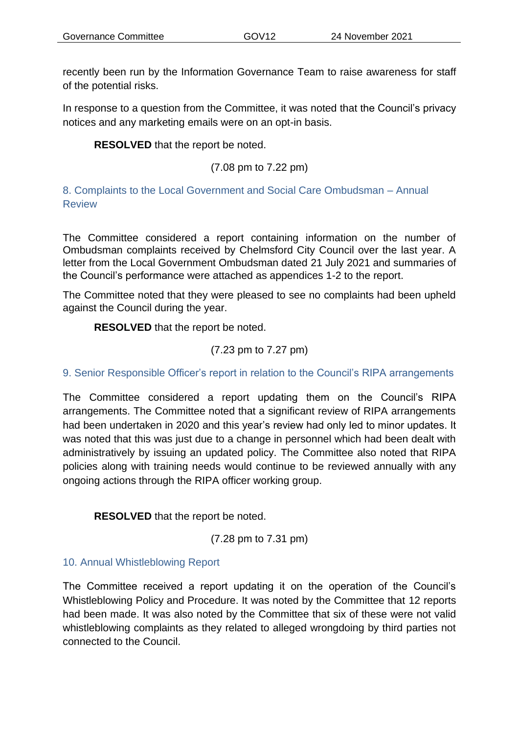recently been run by the Information Governance Team to raise awareness for staff of the potential risks.

In response to a question from the Committee, it was noted that the Council's privacy notices and any marketing emails were on an opt-in basis.

**RESOLVED** that the report be noted.

(7.08 pm to 7.22 pm)

8. Complaints to the Local Government and Social Care Ombudsman – Annual Review

The Committee considered a report containing information on the number of Ombudsman complaints received by Chelmsford City Council over the last year. A letter from the Local Government Ombudsman dated 21 July 2021 and summaries of the Council's performance were attached as appendices 1-2 to the report.

The Committee noted that they were pleased to see no complaints had been upheld against the Council during the year.

**RESOLVED** that the report be noted.

(7.23 pm to 7.27 pm)

9. Senior Responsible Officer's report in relation to the Council's RIPA arrangements

The Committee considered a report updating them on the Council's RIPA arrangements. The Committee noted that a significant review of RIPA arrangements had been undertaken in 2020 and this year's review had only led to minor updates. It was noted that this was just due to a change in personnel which had been dealt with administratively by issuing an updated policy. The Committee also noted that RIPA policies along with training needs would continue to be reviewed annually with any ongoing actions through the RIPA officer working group.

**RESOLVED** that the report be noted.

(7.28 pm to 7.31 pm)

#### 10. Annual Whistleblowing Report

The Committee received a report updating it on the operation of the Council's Whistleblowing Policy and Procedure. It was noted by the Committee that 12 reports had been made. It was also noted by the Committee that six of these were not valid whistleblowing complaints as they related to alleged wrongdoing by third parties not connected to the Council.